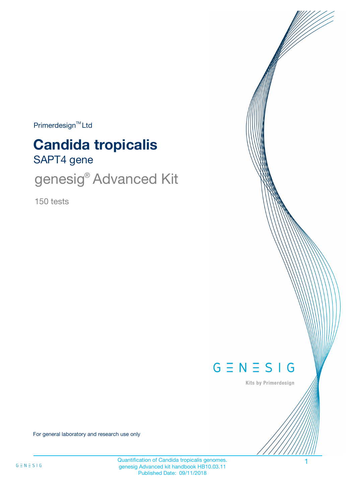Primerdesign<sup>™</sup>Ltd

# SAPT4 gene **Candida tropicalis**

genesig<sup>®</sup> Advanced Kit

150 tests



Kits by Primerdesign

For general laboratory and research use only

Quantification of Candida tropicalis genomes. 1 genesig Advanced kit handbook HB10.03.11 Published Date: 09/11/2018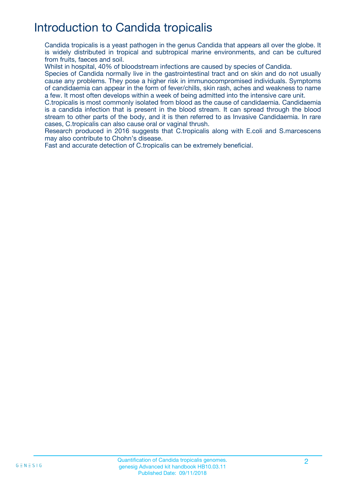## Introduction to Candida tropicalis

Candida tropicalis is a yeast pathogen in the genus Candida that appears all over the globe. It is widely distributed in tropical and subtropical marine environments, and can be cultured from fruits, faeces and soil.

Whilst in hospital, 40% of bloodstream infections are caused by species of Candida.

Species of Candida normally live in the gastrointestinal tract and on skin and do not usually cause any problems. They pose a higher risk in immunocompromised individuals. Symptoms of candidaemia can appear in the form of fever/chills, skin rash, aches and weakness to name a few. It most often develops within a week of being admitted into the intensive care unit.

C.tropicalis is most commonly isolated from blood as the cause of candidaemia. Candidaemia is a candida infection that is present in the blood stream. It can spread through the blood stream to other parts of the body, and it is then referred to as Invasive Candidaemia. In rare cases, C.tropicalis can also cause oral or vaginal thrush.

Research produced in 2016 suggests that C.tropicalis along with E.coli and S.marcescens may also contribute to Chohn's disease.

Fast and accurate detection of C.tropicalis can be extremely beneficial.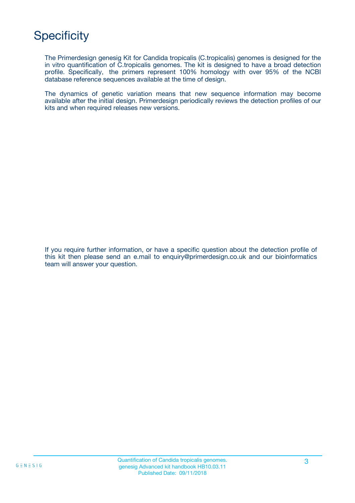# **Specificity**

The Primerdesign genesig Kit for Candida tropicalis (C.tropicalis) genomes is designed for the in vitro quantification of C.tropicalis genomes. The kit is designed to have a broad detection profile. Specifically, the primers represent 100% homology with over 95% of the NCBI database reference sequences available at the time of design.

The dynamics of genetic variation means that new sequence information may become available after the initial design. Primerdesign periodically reviews the detection profiles of our kits and when required releases new versions.

If you require further information, or have a specific question about the detection profile of this kit then please send an e.mail to enquiry@primerdesign.co.uk and our bioinformatics team will answer your question.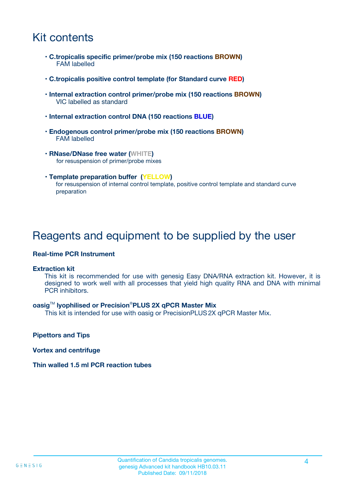## Kit contents

- **C.tropicalis specific primer/probe mix (150 reactions BROWN)** FAM labelled
- **C.tropicalis positive control template (for Standard curve RED)**
- **Internal extraction control primer/probe mix (150 reactions BROWN)** VIC labelled as standard
- **Internal extraction control DNA (150 reactions BLUE)**
- **Endogenous control primer/probe mix (150 reactions BROWN)** FAM labelled
- **RNase/DNase free water (WHITE)** for resuspension of primer/probe mixes
- **Template preparation buffer (YELLOW)** for resuspension of internal control template, positive control template and standard curve preparation

### Reagents and equipment to be supplied by the user

#### **Real-time PCR Instrument**

#### **Extraction kit**

This kit is recommended for use with genesig Easy DNA/RNA extraction kit. However, it is designed to work well with all processes that yield high quality RNA and DNA with minimal PCR inhibitors.

#### **oasig**TM **lyophilised or Precision**®**PLUS 2X qPCR Master Mix**

This kit is intended for use with oasig or PrecisionPLUS2X qPCR Master Mix.

**Pipettors and Tips**

**Vortex and centrifuge**

#### **Thin walled 1.5 ml PCR reaction tubes**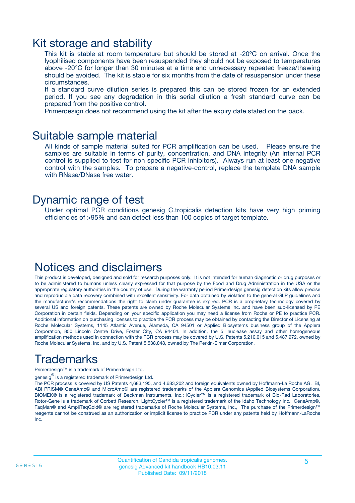### Kit storage and stability

This kit is stable at room temperature but should be stored at -20ºC on arrival. Once the lyophilised components have been resuspended they should not be exposed to temperatures above -20°C for longer than 30 minutes at a time and unnecessary repeated freeze/thawing should be avoided. The kit is stable for six months from the date of resuspension under these circumstances.

If a standard curve dilution series is prepared this can be stored frozen for an extended period. If you see any degradation in this serial dilution a fresh standard curve can be prepared from the positive control.

Primerdesign does not recommend using the kit after the expiry date stated on the pack.

### Suitable sample material

All kinds of sample material suited for PCR amplification can be used. Please ensure the samples are suitable in terms of purity, concentration, and DNA integrity (An internal PCR control is supplied to test for non specific PCR inhibitors). Always run at least one negative control with the samples. To prepare a negative-control, replace the template DNA sample with RNase/DNase free water.

### Dynamic range of test

Under optimal PCR conditions genesig C.tropicalis detection kits have very high priming efficiencies of >95% and can detect less than 100 copies of target template.

### Notices and disclaimers

This product is developed, designed and sold for research purposes only. It is not intended for human diagnostic or drug purposes or to be administered to humans unless clearly expressed for that purpose by the Food and Drug Administration in the USA or the appropriate regulatory authorities in the country of use. During the warranty period Primerdesign genesig detection kits allow precise and reproducible data recovery combined with excellent sensitivity. For data obtained by violation to the general GLP guidelines and the manufacturer's recommendations the right to claim under guarantee is expired. PCR is a proprietary technology covered by several US and foreign patents. These patents are owned by Roche Molecular Systems Inc. and have been sub-licensed by PE Corporation in certain fields. Depending on your specific application you may need a license from Roche or PE to practice PCR. Additional information on purchasing licenses to practice the PCR process may be obtained by contacting the Director of Licensing at Roche Molecular Systems, 1145 Atlantic Avenue, Alameda, CA 94501 or Applied Biosystems business group of the Applera Corporation, 850 Lincoln Centre Drive, Foster City, CA 94404. In addition, the 5' nuclease assay and other homogeneous amplification methods used in connection with the PCR process may be covered by U.S. Patents 5,210,015 and 5,487,972, owned by Roche Molecular Systems, Inc, and by U.S. Patent 5,538,848, owned by The Perkin-Elmer Corporation.

## Trademarks

Primerdesign™ is a trademark of Primerdesign Ltd.

genesig $^\circledR$  is a registered trademark of Primerdesign Ltd.

The PCR process is covered by US Patents 4,683,195, and 4,683,202 and foreign equivalents owned by Hoffmann-La Roche AG. BI, ABI PRISM® GeneAmp® and MicroAmp® are registered trademarks of the Applera Genomics (Applied Biosystems Corporation). BIOMEK® is a registered trademark of Beckman Instruments, Inc.; iCycler™ is a registered trademark of Bio-Rad Laboratories, Rotor-Gene is a trademark of Corbett Research. LightCycler™ is a registered trademark of the Idaho Technology Inc. GeneAmp®, TaqMan® and AmpliTaqGold® are registered trademarks of Roche Molecular Systems, Inc., The purchase of the Primerdesign™ reagents cannot be construed as an authorization or implicit license to practice PCR under any patents held by Hoffmann-LaRoche Inc.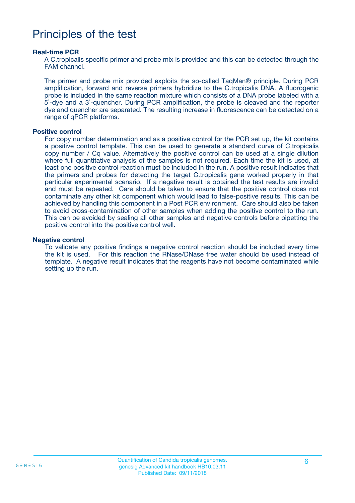### Principles of the test

#### **Real-time PCR**

A C.tropicalis specific primer and probe mix is provided and this can be detected through the FAM channel.

The primer and probe mix provided exploits the so-called TaqMan® principle. During PCR amplification, forward and reverse primers hybridize to the C.tropicalis DNA. A fluorogenic probe is included in the same reaction mixture which consists of a DNA probe labeled with a 5`-dye and a 3`-quencher. During PCR amplification, the probe is cleaved and the reporter dye and quencher are separated. The resulting increase in fluorescence can be detected on a range of qPCR platforms.

#### **Positive control**

For copy number determination and as a positive control for the PCR set up, the kit contains a positive control template. This can be used to generate a standard curve of C.tropicalis copy number / Cq value. Alternatively the positive control can be used at a single dilution where full quantitative analysis of the samples is not required. Each time the kit is used, at least one positive control reaction must be included in the run. A positive result indicates that the primers and probes for detecting the target C.tropicalis gene worked properly in that particular experimental scenario. If a negative result is obtained the test results are invalid and must be repeated. Care should be taken to ensure that the positive control does not contaminate any other kit component which would lead to false-positive results. This can be achieved by handling this component in a Post PCR environment. Care should also be taken to avoid cross-contamination of other samples when adding the positive control to the run. This can be avoided by sealing all other samples and negative controls before pipetting the positive control into the positive control well.

#### **Negative control**

To validate any positive findings a negative control reaction should be included every time the kit is used. For this reaction the RNase/DNase free water should be used instead of template. A negative result indicates that the reagents have not become contaminated while setting up the run.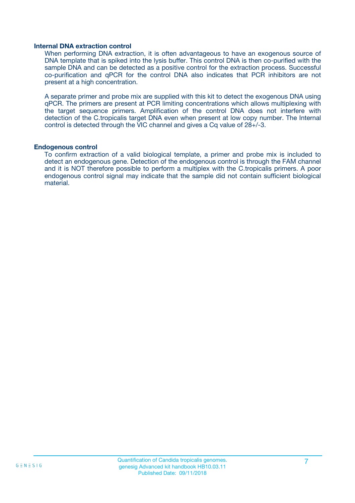#### **Internal DNA extraction control**

When performing DNA extraction, it is often advantageous to have an exogenous source of DNA template that is spiked into the lysis buffer. This control DNA is then co-purified with the sample DNA and can be detected as a positive control for the extraction process. Successful co-purification and qPCR for the control DNA also indicates that PCR inhibitors are not present at a high concentration.

A separate primer and probe mix are supplied with this kit to detect the exogenous DNA using qPCR. The primers are present at PCR limiting concentrations which allows multiplexing with the target sequence primers. Amplification of the control DNA does not interfere with detection of the C.tropicalis target DNA even when present at low copy number. The Internal control is detected through the VIC channel and gives a Cq value of 28+/-3.

#### **Endogenous control**

To confirm extraction of a valid biological template, a primer and probe mix is included to detect an endogenous gene. Detection of the endogenous control is through the FAM channel and it is NOT therefore possible to perform a multiplex with the C.tropicalis primers. A poor endogenous control signal may indicate that the sample did not contain sufficient biological material.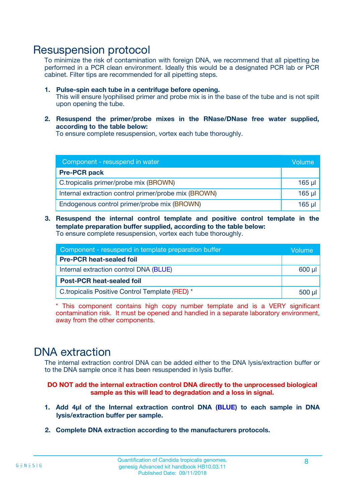### Resuspension protocol

To minimize the risk of contamination with foreign DNA, we recommend that all pipetting be performed in a PCR clean environment. Ideally this would be a designated PCR lab or PCR cabinet. Filter tips are recommended for all pipetting steps.

- **1. Pulse-spin each tube in a centrifuge before opening.** This will ensure lyophilised primer and probe mix is in the base of the tube and is not spilt upon opening the tube.
- **2. Resuspend the primer/probe mixes in the RNase/DNase free water supplied, according to the table below:**

To ensure complete resuspension, vortex each tube thoroughly.

| Component - resuspend in water                       |             |  |
|------------------------------------------------------|-------------|--|
| <b>Pre-PCR pack</b>                                  |             |  |
| C.tropicalis primer/probe mix (BROWN)                | $165$ µl    |  |
| Internal extraction control primer/probe mix (BROWN) | $165$ $\mu$ |  |
| Endogenous control primer/probe mix (BROWN)          | 165 µl      |  |

**3. Resuspend the internal control template and positive control template in the template preparation buffer supplied, according to the table below:** To ensure complete resuspension, vortex each tube thoroughly.

| Component - resuspend in template preparation buffer |  |  |  |
|------------------------------------------------------|--|--|--|
| <b>Pre-PCR heat-sealed foil</b>                      |  |  |  |
| Internal extraction control DNA (BLUE)               |  |  |  |
| <b>Post-PCR heat-sealed foil</b>                     |  |  |  |
| C.tropicalis Positive Control Template (RED) *       |  |  |  |

\* This component contains high copy number template and is a VERY significant contamination risk. It must be opened and handled in a separate laboratory environment, away from the other components.

### DNA extraction

The internal extraction control DNA can be added either to the DNA lysis/extraction buffer or to the DNA sample once it has been resuspended in lysis buffer.

**DO NOT add the internal extraction control DNA directly to the unprocessed biological sample as this will lead to degradation and a loss in signal.**

- **1. Add 4µl of the Internal extraction control DNA (BLUE) to each sample in DNA lysis/extraction buffer per sample.**
- **2. Complete DNA extraction according to the manufacturers protocols.**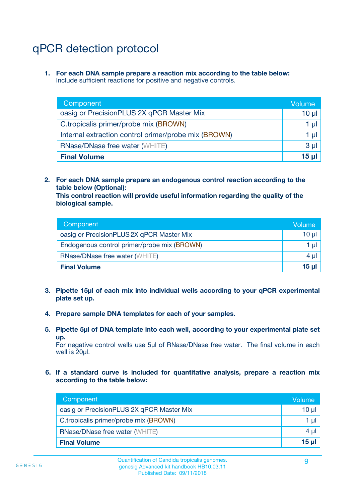# qPCR detection protocol

**1. For each DNA sample prepare a reaction mix according to the table below:** Include sufficient reactions for positive and negative controls.

| Component                                            | Volume   |
|------------------------------------------------------|----------|
| oasig or PrecisionPLUS 2X qPCR Master Mix            | $10 \mu$ |
| C.tropicalis primer/probe mix (BROWN)                | 1 µI     |
| Internal extraction control primer/probe mix (BROWN) | 1 µl     |
| <b>RNase/DNase free water (WHITE)</b>                | $3 \mu$  |
| <b>Final Volume</b>                                  | 15 µl    |

**2. For each DNA sample prepare an endogenous control reaction according to the table below (Optional):**

**This control reaction will provide useful information regarding the quality of the biological sample.**

| Component                                   | Volume   |
|---------------------------------------------|----------|
| oasig or PrecisionPLUS 2X qPCR Master Mix   | $10 \mu$ |
| Endogenous control primer/probe mix (BROWN) | 1 µI     |
| <b>RNase/DNase free water (WHITE)</b>       | $4 \mu$  |
| <b>Final Volume</b>                         | 15 µl    |

- **3. Pipette 15µl of each mix into individual wells according to your qPCR experimental plate set up.**
- **4. Prepare sample DNA templates for each of your samples.**
- **5. Pipette 5µl of DNA template into each well, according to your experimental plate set up.**

For negative control wells use 5µl of RNase/DNase free water. The final volume in each well is 20ul.

**6. If a standard curve is included for quantitative analysis, prepare a reaction mix according to the table below:**

| Component                                 | Volume  |
|-------------------------------------------|---------|
| oasig or PrecisionPLUS 2X qPCR Master Mix | 10 µl   |
| C.tropicalis primer/probe mix (BROWN)     | 1 µI    |
| <b>RNase/DNase free water (WHITE)</b>     | $4 \mu$ |
| <b>Final Volume</b>                       | 15 µl   |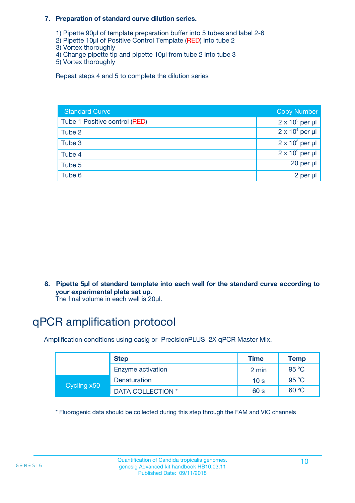#### **7. Preparation of standard curve dilution series.**

- 1) Pipette 90µl of template preparation buffer into 5 tubes and label 2-6
- 2) Pipette 10µl of Positive Control Template (RED) into tube 2
- 3) Vortex thoroughly
- 4) Change pipette tip and pipette 10µl from tube 2 into tube 3
- 5) Vortex thoroughly

Repeat steps 4 and 5 to complete the dilution series

| <b>Standard Curve</b>         | <b>Copy Number</b>     |
|-------------------------------|------------------------|
| Tube 1 Positive control (RED) | $2 \times 10^5$ per µl |
| Tube 2                        | $2 \times 10^4$ per µl |
| Tube 3                        | $2 \times 10^3$ per µl |
| Tube 4                        | $2 \times 10^2$ per µl |
| Tube 5                        | 20 per µl              |
| Tube 6                        | 2 per µl               |

**8. Pipette 5µl of standard template into each well for the standard curve according to your experimental plate set up.**

#### The final volume in each well is 20µl.

## qPCR amplification protocol

Amplification conditions using oasig or PrecisionPLUS 2X qPCR Master Mix.

|             | <b>Step</b>       | <b>Time</b>     | Temp    |
|-------------|-------------------|-----------------|---------|
|             | Enzyme activation | 2 min           | 95 °C   |
| Cycling x50 | Denaturation      | 10 <sub>s</sub> | 95 $°C$ |
|             | DATA COLLECTION * | 60 s            | 60 °C   |

\* Fluorogenic data should be collected during this step through the FAM and VIC channels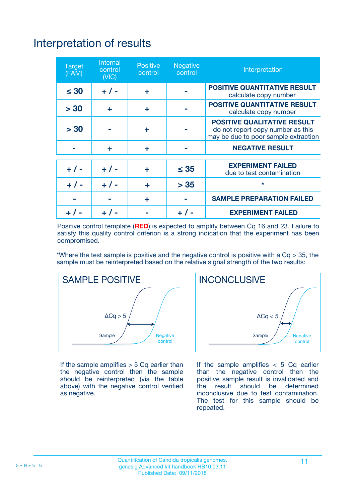# Interpretation of results

| <b>Target</b><br>(FAM) | <b>Internal</b><br>control<br>(NIC) | <b>Positive</b><br>control | <b>Negative</b><br>control | Interpretation                                                                                                  |
|------------------------|-------------------------------------|----------------------------|----------------------------|-----------------------------------------------------------------------------------------------------------------|
| $\leq 30$              | $+ 1 -$                             | ÷                          |                            | <b>POSITIVE QUANTITATIVE RESULT</b><br>calculate copy number                                                    |
| > 30                   | ٠                                   | ÷                          |                            | <b>POSITIVE QUANTITATIVE RESULT</b><br>calculate copy number                                                    |
| > 30                   |                                     | ÷                          |                            | <b>POSITIVE QUALITATIVE RESULT</b><br>do not report copy number as this<br>may be due to poor sample extraction |
|                        | ÷                                   | ÷                          |                            | <b>NEGATIVE RESULT</b>                                                                                          |
| $+ 1 -$                | $+ 1 -$                             | ÷                          | $\leq$ 35                  | <b>EXPERIMENT FAILED</b><br>due to test contamination                                                           |
| $+$ / -                | $+ 1 -$                             | ÷                          | > 35                       | $\star$                                                                                                         |
|                        |                                     | ÷                          |                            | <b>SAMPLE PREPARATION FAILED</b>                                                                                |
|                        |                                     |                            | $+$ /                      | <b>EXPERIMENT FAILED</b>                                                                                        |

Positive control template (**RED**) is expected to amplify between Cq 16 and 23. Failure to satisfy this quality control criterion is a strong indication that the experiment has been compromised.

\*Where the test sample is positive and the negative control is positive with a  $Ca > 35$ , the sample must be reinterpreted based on the relative signal strength of the two results:



If the sample amplifies  $> 5$  Cq earlier than the negative control then the sample should be reinterpreted (via the table above) with the negative control verified as negative.



If the sample amplifies  $< 5$  Cq earlier than the negative control then the positive sample result is invalidated and<br>the result should be determined  $the$  result should be inconclusive due to test contamination. The test for this sample should be repeated.